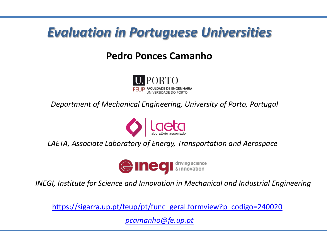# *Evaluation in Portuguese Universities*

## **Pedro Ponces Camanho**



*Department of Mechanical Engineering, University of Porto, Portugal*



*LAETA, Associate Laboratory of Energy, Transportation and Aerospace*



*INEGI, Institute for Science and Innovation in Mechanical and Industrial Engineering*

[https://sigarra.up.pt/feup/pt/func\\_geral.formview?p\\_codigo=240020](https://sigarra.up.pt/feup/pt/func_geral.formview?p_codigo=240020)

*[pcamanho@fe.up.pt](mailto:pcamanho@fe.up.pt)*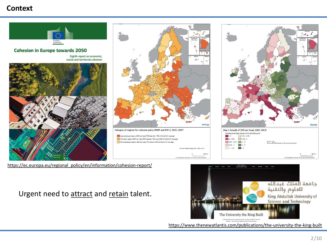#### **Context**



[https://ec.europa.eu/regional\\_policy/en/information/cohesion-report/](https://ec.europa.eu/regional_policy)

Urgent need to attract and retain talent.

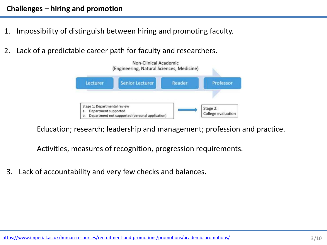- 1. Impossibility of distinguish between hiring and promoting faculty.
- 2. Lack of a predictable career path for faculty and researchers.



Education; research; leadership and management; profession and practice.

Activities, measures of recognition, progression requirements.

3. Lack of accountability and very few checks and balances.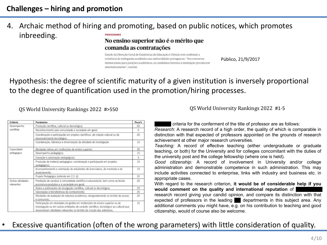#### 4. Archaic method of hiring and promoting, based on public notices, which promotes inbreeding. **PROFESSORES**

#### No ensino superior não é o mérito que comanda as contratações

Estudo da Direcção-Geral de Estatísticas da Educação e Ciência vem confirmar a existência de endogamia académica nas universidades portuguesas. "Nos concursos institucionais para posições académicas, os candidatos internos à instituição prevalecem sistematicamente", conclui.

Público, 21/9/2017

### Hypothesis: the degree of scientific maturity of a given institution is inversely proportional to the degree of quantification used in the promotion/hiring processes.

| Critério                        | Parâmetro                                                                                                                                                                                                                                         | Peso% |
|---------------------------------|---------------------------------------------------------------------------------------------------------------------------------------------------------------------------------------------------------------------------------------------------|-------|
| Desempenho<br>científico        | Produção científica, cultural ou tecnológica;                                                                                                                                                                                                     | 65    |
|                                 | Reconhecimento pela comunidade e sociedade em geral;                                                                                                                                                                                              | 5     |
|                                 | Coordenação e participação em projetos científicos, de criação cultural ou de<br>desenvolvimento tecnológico;                                                                                                                                     | 20    |
|                                 | Coordenação, liderança e dinamização da atividade de investigação                                                                                                                                                                                 | 10    |
| Capacidade<br>pedagógica        | Atividades letivas em instituições de ensino superior;                                                                                                                                                                                            | 35    |
|                                 | Desempenho pedagógico;                                                                                                                                                                                                                            | 15    |
|                                 | Inovação e valorização pedagógicas;                                                                                                                                                                                                               | 5.    |
|                                 | Produção de material pedagógico; coordenação e participação em projetos<br>pedagógicos;                                                                                                                                                           | 10    |
|                                 | Acompanhamento e orientação de estudantes de licenciatura, de mestrado e de<br>doutoramento.                                                                                                                                                      | 15    |
|                                 | Projeto Pedagógico [referido em 2.2 c]]                                                                                                                                                                                                           | 20    |
| Outras atividades<br>relevantes | Prestação de serviços à comunidade científica e educacional, bem como ao tecido<br>económico-produtivo e à sociedade em geral;                                                                                                                    | 20    |
|                                 | Ações e publicações de divulgação científica, cultural ou tecnológica;                                                                                                                                                                            | 25    |
|                                 | Valorização e transferência de conhecimento;                                                                                                                                                                                                      | 25    |
|                                 | Atividades de avaliação de natureza académica, designadamente no âmbito de provas<br>e concursos:                                                                                                                                                 | 20    |
|                                 | Participação em atividades de gestão em instituições de ensino superior ou de<br>investigação ou em outras entidades de carácter científico, tecnológico ou cultural que<br>desenvolvam atividades relevantes no âmbito da missão das anteriores. | 10    |

QS World University Rankings 2022 #>550 QS World University Rankings 2022 #1-5

criteria for the conferment of the title of professor are as follows: *Research*: A research record of a high order, the quality of which is comparable in distinction with that expected of professors appointed on the grounds of research achievement at other major research universities.

*Teaching:* A record of effective teaching (either undergraduate or graduate teaching, or both) for the University and for colleges concomitant with the duties of the university post and the college fellowship (where one is held).

*Good citizenship:* A record of involvement in University and/or college administration and demonstrable competence in such administration. This may include activities connected to enterprise, links with industry and business etc. in appropriate cases.

With regard to the research criterion, **it would be of considerable help if you would** comment on the quality and international reputation of

research record giving your candid opinion, and compare its distinction with that expected of professors in the leading  $\blacksquare$  departments in this subject area. Any additional comments you might have, e.g. on his contribution to teaching and good citizenship, would of course also be welcome.

### • Excessive quantification (often of the wrong parameters) with little consideration of quality.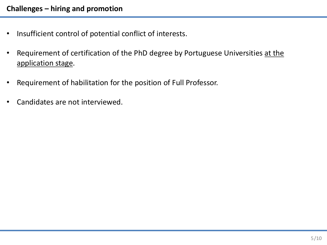- Insufficient control of potential conflict of interests.
- Requirement of certification of the PhD degree by Portuguese Universities at the application stage.
- Requirement of habilitation for the position of Full Professor.
- Candidates are not interviewed.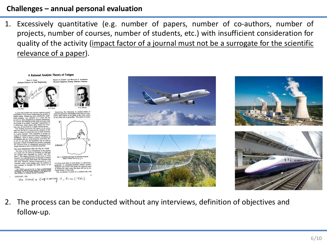### **Challenges – annual personal evaluation**

1. Excessively quantitative (e.g. number of papers, number of co-authors, number of projects, number of courses, number of students, etc.) with insufficient consideration for quality of the activity (impact factor of a journal must not be a surrogate for the scientific relevance of a paper).









2. The process can be conducted without any interviews, definition of objectives and follow-up.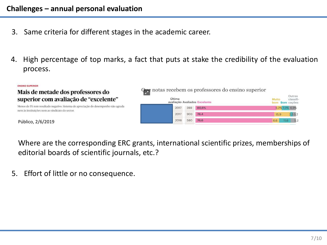- 3. Same criteria for different stages in the academic career.
- 4. High percentage of top marks, a fact that puts at stake the credibility of the evaluation process.

| <b>ENSINO SUPERIOR</b><br>Mais de metade dos professores do                                                                           | Que notas recebem os professores do ensino superior |                                                   |
|---------------------------------------------------------------------------------------------------------------------------------------|-----------------------------------------------------|---------------------------------------------------|
| superior com avaliação de "excelente"                                                                                                 | Última<br>avaliação Avaliados Excelente             | Outras<br>classifi-<br>Muito<br><b>Bom</b> cacões |
| Menos de 5% tem resultado negativo. Sistema de apreciação do desempenho não agrada<br>nem às instituições nem ao sindicato do sector. | 80,6%<br>289<br>2017                                | 5,2% 7,3% 6,9%                                    |
|                                                                                                                                       | 903<br>78.4<br>2017                                 | 2,53,2<br>15.9                                    |
| Público, 2/6/2019                                                                                                                     | 76.6<br>580<br>2016                                 | 6,6<br>11.6<br>5.2                                |

Where are the corresponding ERC grants, international scientific prizes, memberships of editorial boards of scientific journals, etc.?

5. Effort of little or no consequence.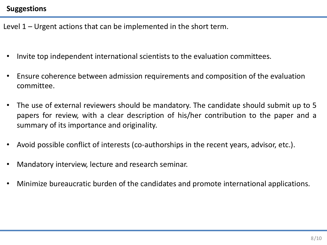#### **Suggestions**

Level 1 – Urgent actions that can be implemented in the short term.

- Invite top independent international scientists to the evaluation committees.
- Ensure coherence between admission requirements and composition of the evaluation committee.
- The use of external reviewers should be mandatory. The candidate should submit up to 5 papers for review, with a clear description of his/her contribution to the paper and a summary of its importance and originality.
- Avoid possible conflict of interests (co-authorships in the recent years, advisor, etc.).
- Mandatory interview, lecture and research seminar.
- Minimize bureaucratic burden of the candidates and promote international applications.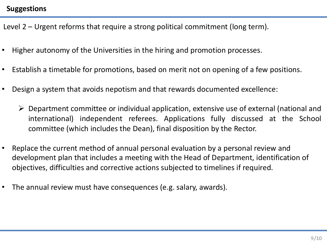#### **Suggestions**

Level 2 – Urgent reforms that require a strong political commitment (long term).

- Higher autonomy of the Universities in the hiring and promotion processes.
- Establish a timetable for promotions, based on merit not on opening of a few positions.
- Design a system that avoids nepotism and that rewards documented excellence:
	- $\triangleright$  Department committee or individual application, extensive use of external (national and international) independent referees. Applications fully discussed at the School committee (which includes the Dean), final disposition by the Rector.
- Replace the current method of annual personal evaluation by a personal review and development plan that includes a meeting with the Head of Department, identification of objectives, difficulties and corrective actions subjected to timelines if required.
- The annual review must have consequences (e.g. salary, awards).